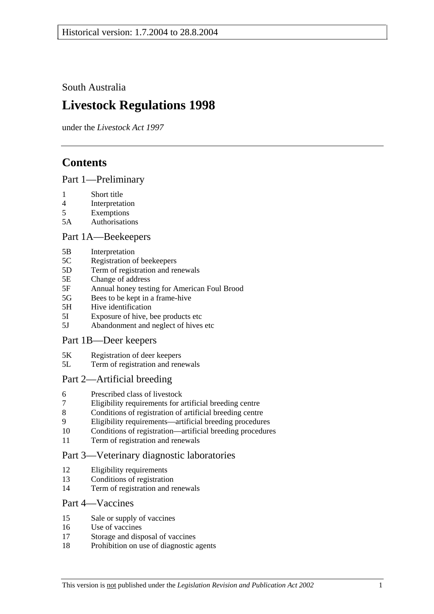South Australia

# **Livestock Regulations 1998**

under the *Livestock Act 1997*

## **Contents**

#### Part 1—Preliminary

- 1 Short title
- 4 Interpretation
- 5 Exemptions
- 5A Authorisations

#### Part 1A—Beekeepers

- 5B Interpretation
- 5C Registration of beekeepers
- 5D Term of registration and renewals
- 5E Change of address
- 5F Annual honey testing for American Foul Brood
- 5G Bees to be kept in a frame-hive
- 5H Hive identification
- 5I Exposure of hive, bee products etc
- 5J Abandonment and neglect of hives etc

#### Part 1B—Deer keepers

- 5K Registration of deer keepers
- 5L Term of registration and renewals

### Part 2—Artificial breeding

- 6 Prescribed class of livestock
- 7 Eligibility requirements for artificial breeding centre
- 8 Conditions of registration of artificial breeding centre
- 9 Eligibility requirements—artificial breeding procedures
- 10 Conditions of registration—artificial breeding procedures
- 11 Term of registration and renewals

### Part 3—Veterinary diagnostic laboratories

- 12 Eligibility requirements
- 13 Conditions of registration
- 14 Term of registration and renewals

#### Part 4—Vaccines

- 15 Sale or supply of vaccines
- 16 Use of vaccines
- 17 Storage and disposal of vaccines
- 18 Prohibition on use of diagnostic agents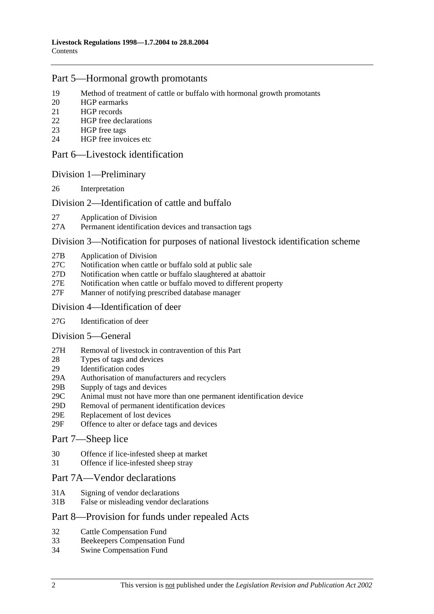#### Part 5—Hormonal growth promotants

- 19 Method of treatment of cattle or buffalo with hormonal growth promotants
- 20 HGP earmarks
- 21 HGP records
- 22 HGP free declarations
- 23 HGP free tags
- 24 HGP free invoices etc

#### Part 6—Livestock identification

#### Division 1—Preliminary

26 Interpretation

#### Division 2—Identification of cattle and buffalo

- 27 Application of Division
- 27A Permanent identification devices and transaction tags

#### Division 3—Notification for purposes of national livestock identification scheme

- 27B Application of Division
- 27C Notification when cattle or buffalo sold at public sale
- 27D Notification when cattle or buffalo slaughtered at abattoir
- 27E Notification when cattle or buffalo moved to different property
- 27F Manner of notifying prescribed database manager

#### Division 4—Identification of deer

27G Identification of deer

#### Division 5—General

- 27H Removal of livestock in contravention of this Part
- 28 Types of tags and devices
- 29 Identification codes
- 29A Authorisation of manufacturers and recyclers
- 29B Supply of tags and devices
- 29C Animal must not have more than one permanent identification device
- 29D Removal of permanent identification devices
- 29E Replacement of lost devices
- 29F Offence to alter or deface tags and devices

#### Part 7—Sheep lice

- 30 Offence if lice-infested sheep at market
- 31 Offence if lice-infested sheep stray

#### Part 7A—Vendor declarations

- 31A Signing of vendor declarations
- 31B False or misleading vendor declarations

#### Part 8—Provision for funds under repealed Acts

- 32 Cattle Compensation Fund
- 33 Beekeepers Compensation Fund
- 34 Swine Compensation Fund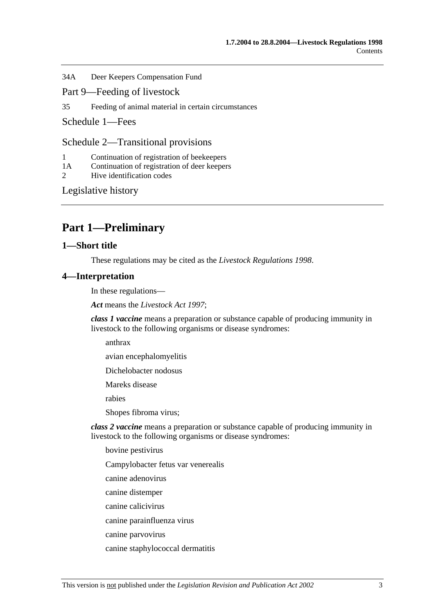34A Deer Keepers Compensation Fund

- Part 9—Feeding of livestock
- 35 Feeding of animal material in certain circumstances

Schedule 1—Fees

Schedule 2—Transitional provisions

- 1 Continuation of registration of beekeepers
- 1A Continuation of registration of deer keepers
- 2 Hive identification codes

Legislative history

## **Part 1—Preliminary**

#### **1—Short title**

These regulations may be cited as the *Livestock Regulations 1998*.

#### **4—Interpretation**

In these regulations—

*Act* means the *Livestock Act 1997*;

*class 1 vaccine* means a preparation or substance capable of producing immunity in livestock to the following organisms or disease syndromes:

anthrax

avian encephalomyelitis

Dichelobacter nodosus

Mareks disease

rabies

Shopes fibroma virus;

*class 2 vaccine* means a preparation or substance capable of producing immunity in livestock to the following organisms or disease syndromes:

bovine pestivirus

Campylobacter fetus var venerealis

canine adenovirus

- canine distemper
- canine calicivirus

canine parainfluenza virus

canine parvovirus

canine staphylococcal dermatitis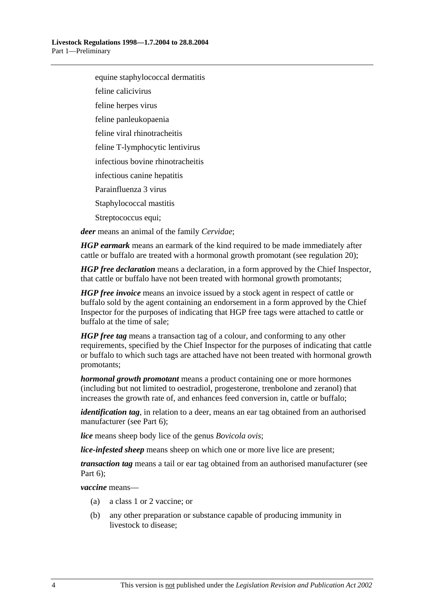equine staphylococcal dermatitis

feline calicivirus

feline herpes virus

feline panleukopaenia

feline viral rhinotracheitis

feline T-lymphocytic lentivirus

infectious bovine rhinotracheitis

infectious canine hepatitis

Parainfluenza 3 virus

Staphylococcal mastitis

Streptococcus equi;

*deer* means an animal of the family *Cervidae*;

*HGP earmark* means an earmark of the kind required to be made immediately after cattle or buffalo are treated with a hormonal growth promotant (see regulation 20);

*HGP free declaration* means a declaration, in a form approved by the Chief Inspector, that cattle or buffalo have not been treated with hormonal growth promotants;

*HGP free invoice* means an invoice issued by a stock agent in respect of cattle or buffalo sold by the agent containing an endorsement in a form approved by the Chief Inspector for the purposes of indicating that HGP free tags were attached to cattle or buffalo at the time of sale;

*HGP free tag* means a transaction tag of a colour, and conforming to any other requirements, specified by the Chief Inspector for the purposes of indicating that cattle or buffalo to which such tags are attached have not been treated with hormonal growth promotants;

*hormonal growth promotant* means a product containing one or more hormones (including but not limited to oestradiol, progesterone, trenbolone and zeranol) that increases the growth rate of, and enhances feed conversion in, cattle or buffalo;

*identification tag*, in relation to a deer, means an ear tag obtained from an authorised manufacturer (see Part 6);

*lice* means sheep body lice of the genus *Bovicola ovis*;

*lice-infested sheep* means sheep on which one or more live lice are present;

*transaction tag* means a tail or ear tag obtained from an authorised manufacturer (see Part 6);

*vaccine* means—

- (a) a class 1 or 2 vaccine; or
- (b) any other preparation or substance capable of producing immunity in livestock to disease;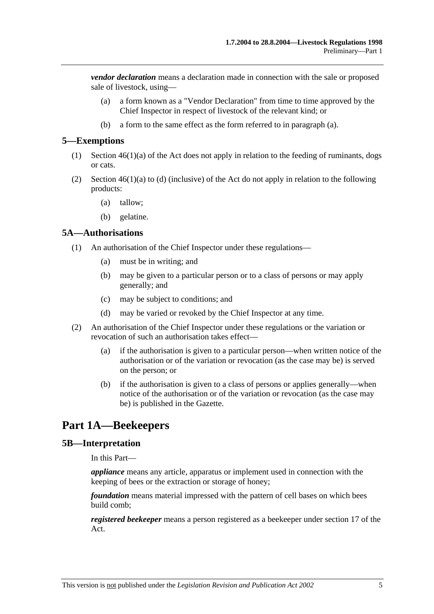*vendor declaration* means a declaration made in connection with the sale or proposed sale of livestock, using—

- (a) a form known as a "Vendor Declaration" from time to time approved by the Chief Inspector in respect of livestock of the relevant kind; or
- (b) a form to the same effect as the form referred to in paragraph (a).

#### **5—Exemptions**

- (1) Section 46(1)(a) of the Act does not apply in relation to the feeding of ruminants, dogs or cats.
- (2) Section 46(1)(a) to (d) (inclusive) of the Act do not apply in relation to the following products:
	- (a) tallow;
	- (b) gelatine.

#### **5A—Authorisations**

- (1) An authorisation of the Chief Inspector under these regulations—
	- (a) must be in writing; and
	- (b) may be given to a particular person or to a class of persons or may apply generally; and
	- (c) may be subject to conditions; and
	- (d) may be varied or revoked by the Chief Inspector at any time.
- (2) An authorisation of the Chief Inspector under these regulations or the variation or revocation of such an authorisation takes effect—
	- (a) if the authorisation is given to a particular person—when written notice of the authorisation or of the variation or revocation (as the case may be) is served on the person; or
	- (b) if the authorisation is given to a class of persons or applies generally—when notice of the authorisation or of the variation or revocation (as the case may be) is published in the Gazette.

## **Part 1A—Beekeepers**

#### **5B—Interpretation**

In this Part—

*appliance* means any article, apparatus or implement used in connection with the keeping of bees or the extraction or storage of honey;

*foundation* means material impressed with the pattern of cell bases on which bees build comb;

*registered beekeeper* means a person registered as a beekeeper under section 17 of the Act.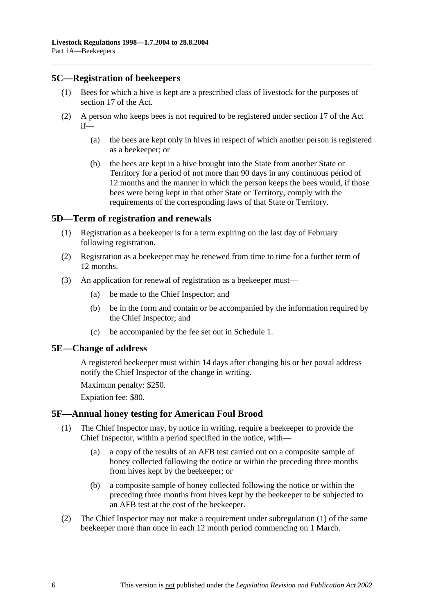#### **5C—Registration of beekeepers**

- (1) Bees for which a hive is kept are a prescribed class of livestock for the purposes of section 17 of the Act.
- (2) A person who keeps bees is not required to be registered under section 17 of the Act if—
	- (a) the bees are kept only in hives in respect of which another person is registered as a beekeeper; or
	- (b) the bees are kept in a hive brought into the State from another State or Territory for a period of not more than 90 days in any continuous period of 12 months and the manner in which the person keeps the bees would, if those bees were being kept in that other State or Territory, comply with the requirements of the corresponding laws of that State or Territory.

#### **5D—Term of registration and renewals**

- (1) Registration as a beekeeper is for a term expiring on the last day of February following registration.
- (2) Registration as a beekeeper may be renewed from time to time for a further term of 12 months.
- (3) An application for renewal of registration as a beekeeper must—
	- (a) be made to the Chief Inspector; and
	- (b) be in the form and contain or be accompanied by the information required by the Chief Inspector; and
	- (c) be accompanied by the fee set out in Schedule 1.

#### **5E—Change of address**

A registered beekeeper must within 14 days after changing his or her postal address notify the Chief Inspector of the change in writing.

Maximum penalty: \$250.

Expiation fee: \$80.

#### **5F—Annual honey testing for American Foul Brood**

- (1) The Chief Inspector may, by notice in writing, require a beekeeper to provide the Chief Inspector, within a period specified in the notice, with—
	- (a) a copy of the results of an AFB test carried out on a composite sample of honey collected following the notice or within the preceding three months from hives kept by the beekeeper; or
	- (b) a composite sample of honey collected following the notice or within the preceding three months from hives kept by the beekeeper to be subjected to an AFB test at the cost of the beekeeper.
- (2) The Chief Inspector may not make a requirement under subregulation (1) of the same beekeeper more than once in each 12 month period commencing on 1 March.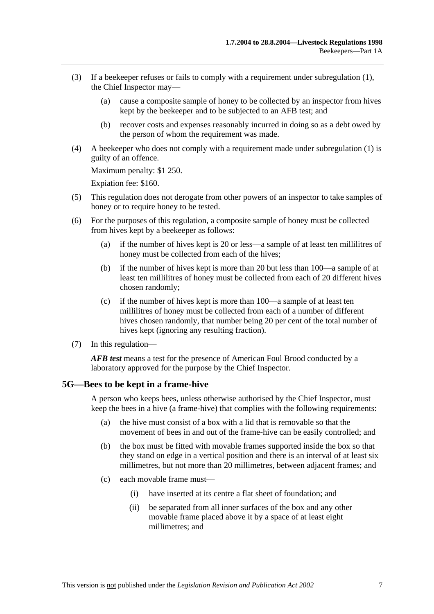- (3) If a beekeeper refuses or fails to comply with a requirement under subregulation (1), the Chief Inspector may—
	- (a) cause a composite sample of honey to be collected by an inspector from hives kept by the beekeeper and to be subjected to an AFB test; and
	- (b) recover costs and expenses reasonably incurred in doing so as a debt owed by the person of whom the requirement was made.
- (4) A beekeeper who does not comply with a requirement made under subregulation (1) is guilty of an offence.

Maximum penalty: \$1 250.

Expiation fee: \$160.

- (5) This regulation does not derogate from other powers of an inspector to take samples of honey or to require honey to be tested.
- (6) For the purposes of this regulation, a composite sample of honey must be collected from hives kept by a beekeeper as follows:
	- (a) if the number of hives kept is 20 or less—a sample of at least ten millilitres of honey must be collected from each of the hives;
	- (b) if the number of hives kept is more than 20 but less than 100—a sample of at least ten millilitres of honey must be collected from each of 20 different hives chosen randomly;
	- (c) if the number of hives kept is more than 100—a sample of at least ten millilitres of honey must be collected from each of a number of different hives chosen randomly, that number being 20 per cent of the total number of hives kept (ignoring any resulting fraction).
- (7) In this regulation—

*AFB test* means a test for the presence of American Foul Brood conducted by a laboratory approved for the purpose by the Chief Inspector.

#### **5G—Bees to be kept in a frame-hive**

A person who keeps bees, unless otherwise authorised by the Chief Inspector, must keep the bees in a hive (a frame-hive) that complies with the following requirements:

- (a) the hive must consist of a box with a lid that is removable so that the movement of bees in and out of the frame-hive can be easily controlled; and
- (b) the box must be fitted with movable frames supported inside the box so that they stand on edge in a vertical position and there is an interval of at least six millimetres, but not more than 20 millimetres, between adjacent frames; and
- (c) each movable frame must—
	- (i) have inserted at its centre a flat sheet of foundation; and
	- (ii) be separated from all inner surfaces of the box and any other movable frame placed above it by a space of at least eight millimetres; and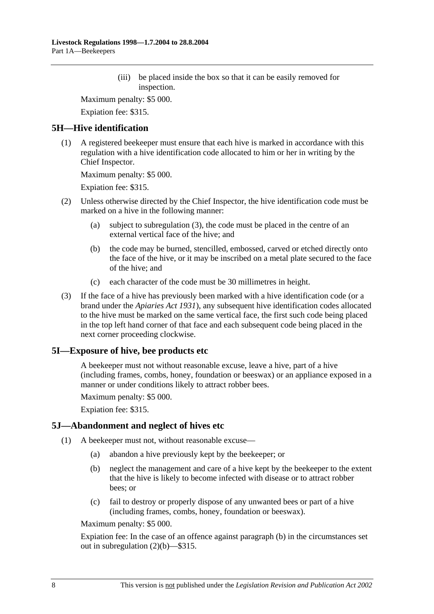(iii) be placed inside the box so that it can be easily removed for inspection.

Maximum penalty: \$5 000.

Expiation fee: \$315.

#### **5H—Hive identification**

 (1) A registered beekeeper must ensure that each hive is marked in accordance with this regulation with a hive identification code allocated to him or her in writing by the Chief Inspector.

Maximum penalty: \$5 000.

Expiation fee: \$315.

- (2) Unless otherwise directed by the Chief Inspector, the hive identification code must be marked on a hive in the following manner:
	- (a) subject to subregulation (3), the code must be placed in the centre of an external vertical face of the hive; and
	- (b) the code may be burned, stencilled, embossed, carved or etched directly onto the face of the hive, or it may be inscribed on a metal plate secured to the face of the hive; and
	- (c) each character of the code must be 30 millimetres in height.
- (3) If the face of a hive has previously been marked with a hive identification code (or a brand under the *Apiaries Act 1931*), any subsequent hive identification codes allocated to the hive must be marked on the same vertical face, the first such code being placed in the top left hand corner of that face and each subsequent code being placed in the next corner proceeding clockwise.

### **5I—Exposure of hive, bee products etc**

A beekeeper must not without reasonable excuse, leave a hive, part of a hive (including frames, combs, honey, foundation or beeswax) or an appliance exposed in a manner or under conditions likely to attract robber bees.

Maximum penalty: \$5 000.

Expiation fee: \$315.

#### **5J—Abandonment and neglect of hives etc**

- (1) A beekeeper must not, without reasonable excuse—
	- (a) abandon a hive previously kept by the beekeeper; or
	- (b) neglect the management and care of a hive kept by the beekeeper to the extent that the hive is likely to become infected with disease or to attract robber bees; or
	- (c) fail to destroy or properly dispose of any unwanted bees or part of a hive (including frames, combs, honey, foundation or beeswax).

Maximum penalty: \$5 000.

Expiation fee: In the case of an offence against paragraph (b) in the circumstances set out in subregulation (2)(b)—\$315.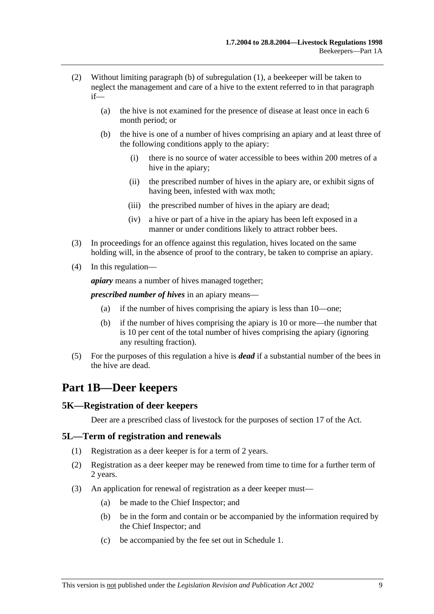- (2) Without limiting paragraph (b) of subregulation (1), a beekeeper will be taken to neglect the management and care of a hive to the extent referred to in that paragraph if—
	- (a) the hive is not examined for the presence of disease at least once in each 6 month period; or
	- (b) the hive is one of a number of hives comprising an apiary and at least three of the following conditions apply to the apiary:
		- (i) there is no source of water accessible to bees within 200 metres of a hive in the apiary;
		- (ii) the prescribed number of hives in the apiary are, or exhibit signs of having been, infested with wax moth;
		- (iii) the prescribed number of hives in the apiary are dead;
		- (iv) a hive or part of a hive in the apiary has been left exposed in a manner or under conditions likely to attract robber bees.
- (3) In proceedings for an offence against this regulation, hives located on the same holding will, in the absence of proof to the contrary, be taken to comprise an apiary.
- (4) In this regulation—

*apiary* means a number of hives managed together;

*prescribed number of hives* in an apiary means—

- (a) if the number of hives comprising the apiary is less than 10—one;
- (b) if the number of hives comprising the apiary is 10 or more—the number that is 10 per cent of the total number of hives comprising the apiary (ignoring any resulting fraction).
- (5) For the purposes of this regulation a hive is *dead* if a substantial number of the bees in the hive are dead.

### **Part 1B—Deer keepers**

#### **5K—Registration of deer keepers**

Deer are a prescribed class of livestock for the purposes of section 17 of the Act.

#### **5L—Term of registration and renewals**

- (1) Registration as a deer keeper is for a term of 2 years.
- (2) Registration as a deer keeper may be renewed from time to time for a further term of 2 years.
- (3) An application for renewal of registration as a deer keeper must—
	- (a) be made to the Chief Inspector; and
	- (b) be in the form and contain or be accompanied by the information required by the Chief Inspector; and
	- (c) be accompanied by the fee set out in Schedule 1.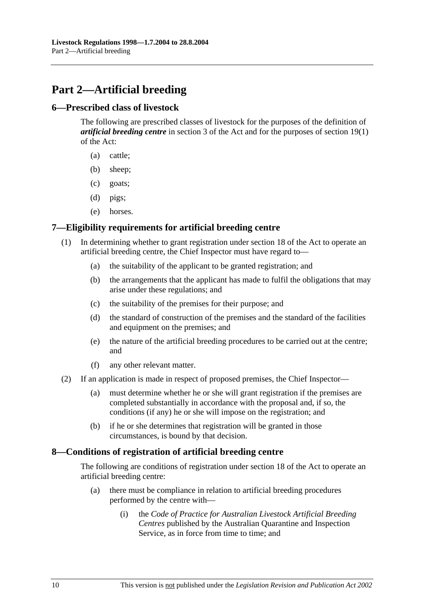## **Part 2—Artificial breeding**

#### **6—Prescribed class of livestock**

The following are prescribed classes of livestock for the purposes of the definition of *artificial breeding centre* in section 3 of the Act and for the purposes of section 19(1) of the Act:

- (a) cattle;
- (b) sheep;
- (c) goats;
- (d) pigs;
- (e) horses.

#### **7—Eligibility requirements for artificial breeding centre**

- (1) In determining whether to grant registration under section 18 of the Act to operate an artificial breeding centre, the Chief Inspector must have regard to—
	- (a) the suitability of the applicant to be granted registration; and
	- (b) the arrangements that the applicant has made to fulfil the obligations that may arise under these regulations; and
	- (c) the suitability of the premises for their purpose; and
	- (d) the standard of construction of the premises and the standard of the facilities and equipment on the premises; and
	- (e) the nature of the artificial breeding procedures to be carried out at the centre; and
	- (f) any other relevant matter.
- (2) If an application is made in respect of proposed premises, the Chief Inspector—
	- (a) must determine whether he or she will grant registration if the premises are completed substantially in accordance with the proposal and, if so, the conditions (if any) he or she will impose on the registration; and
	- (b) if he or she determines that registration will be granted in those circumstances, is bound by that decision.

#### **8—Conditions of registration of artificial breeding centre**

The following are conditions of registration under section 18 of the Act to operate an artificial breeding centre:

- (a) there must be compliance in relation to artificial breeding procedures performed by the centre with—
	- (i) the *Code of Practice for Australian Livestock Artificial Breeding Centres* published by the Australian Quarantine and Inspection Service, as in force from time to time; and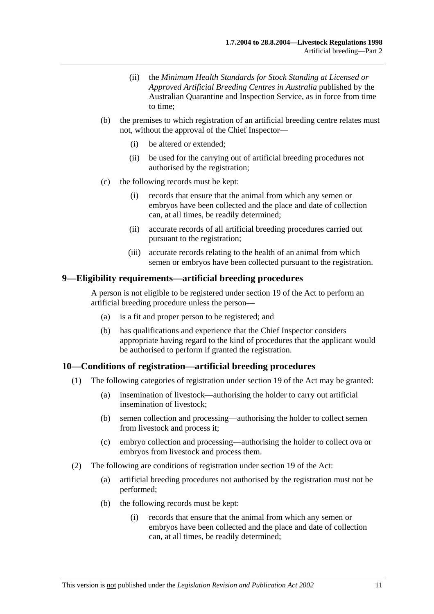- (ii) the *Minimum Health Standards for Stock Standing at Licensed or Approved Artificial Breeding Centres in Australia* published by the Australian Quarantine and Inspection Service, as in force from time to time;
- (b) the premises to which registration of an artificial breeding centre relates must not, without the approval of the Chief Inspector—
	- (i) be altered or extended;
	- (ii) be used for the carrying out of artificial breeding procedures not authorised by the registration;
- (c) the following records must be kept:
	- (i) records that ensure that the animal from which any semen or embryos have been collected and the place and date of collection can, at all times, be readily determined;
	- (ii) accurate records of all artificial breeding procedures carried out pursuant to the registration;
	- (iii) accurate records relating to the health of an animal from which semen or embryos have been collected pursuant to the registration.

#### **9—Eligibility requirements—artificial breeding procedures**

A person is not eligible to be registered under section 19 of the Act to perform an artificial breeding procedure unless the person—

- (a) is a fit and proper person to be registered; and
- (b) has qualifications and experience that the Chief Inspector considers appropriate having regard to the kind of procedures that the applicant would be authorised to perform if granted the registration.

#### **10—Conditions of registration—artificial breeding procedures**

- (1) The following categories of registration under section 19 of the Act may be granted:
	- (a) insemination of livestock—authorising the holder to carry out artificial insemination of livestock;
	- (b) semen collection and processing—authorising the holder to collect semen from livestock and process it;
	- (c) embryo collection and processing—authorising the holder to collect ova or embryos from livestock and process them.
- (2) The following are conditions of registration under section 19 of the Act:
	- (a) artificial breeding procedures not authorised by the registration must not be performed;
	- (b) the following records must be kept:
		- (i) records that ensure that the animal from which any semen or embryos have been collected and the place and date of collection can, at all times, be readily determined;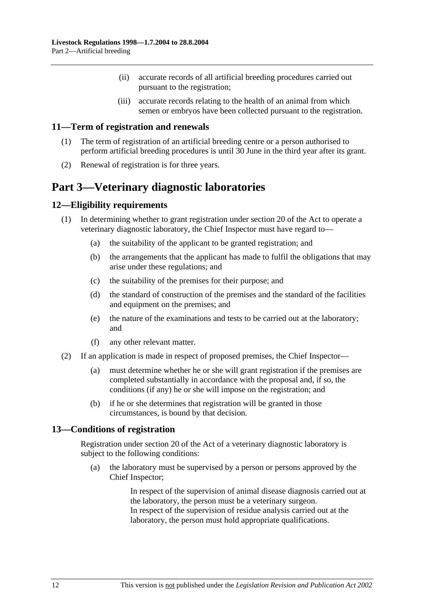- (ii) accurate records of all artificial breeding procedures carried out pursuant to the registration;
- (iii) accurate records relating to the health of an animal from which semen or embryos have been collected pursuant to the registration.

#### **11—Term of registration and renewals**

- (1) The term of registration of an artificial breeding centre or a person authorised to perform artificial breeding procedures is until 30 June in the third year after its grant.
- (2) Renewal of registration is for three years.

## **Part 3—Veterinary diagnostic laboratories**

#### **12—Eligibility requirements**

- (1) In determining whether to grant registration under section 20 of the Act to operate a veterinary diagnostic laboratory, the Chief Inspector must have regard to—
	- (a) the suitability of the applicant to be granted registration; and
	- (b) the arrangements that the applicant has made to fulfil the obligations that may arise under these regulations; and
	- (c) the suitability of the premises for their purpose; and
	- (d) the standard of construction of the premises and the standard of the facilities and equipment on the premises; and
	- (e) the nature of the examinations and tests to be carried out at the laboratory; and
	- (f) any other relevant matter.
- (2) If an application is made in respect of proposed premises, the Chief Inspector—
	- (a) must determine whether he or she will grant registration if the premises are completed substantially in accordance with the proposal and, if so, the conditions (if any) he or she will impose on the registration; and
	- (b) if he or she determines that registration will be granted in those circumstances, is bound by that decision.

#### **13—Conditions of registration**

Registration under section 20 of the Act of a veterinary diagnostic laboratory is subject to the following conditions:

 (a) the laboratory must be supervised by a person or persons approved by the Chief Inspector;

> In respect of the supervision of animal disease diagnosis carried out at the laboratory, the person must be a veterinary surgeon. In respect of the supervision of residue analysis carried out at the laboratory, the person must hold appropriate qualifications.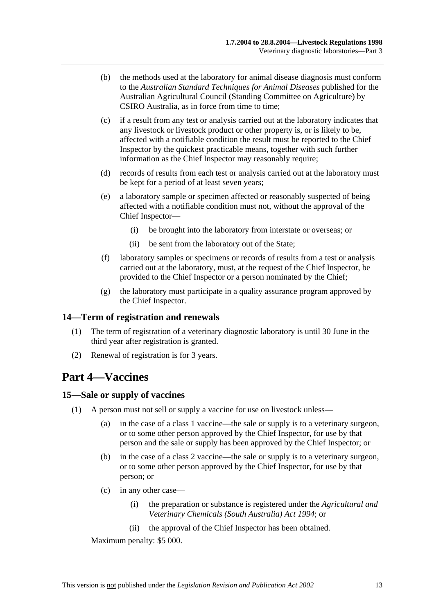- (b) the methods used at the laboratory for animal disease diagnosis must conform to the *Australian Standard Techniques for Animal Diseases* published for the Australian Agricultural Council (Standing Committee on Agriculture) by CSIRO Australia, as in force from time to time;
- (c) if a result from any test or analysis carried out at the laboratory indicates that any livestock or livestock product or other property is, or is likely to be, affected with a notifiable condition the result must be reported to the Chief Inspector by the quickest practicable means, together with such further information as the Chief Inspector may reasonably require;
- (d) records of results from each test or analysis carried out at the laboratory must be kept for a period of at least seven years;
- (e) a laboratory sample or specimen affected or reasonably suspected of being affected with a notifiable condition must not, without the approval of the Chief Inspector—
	- (i) be brought into the laboratory from interstate or overseas; or
	- (ii) be sent from the laboratory out of the State;
- (f) laboratory samples or specimens or records of results from a test or analysis carried out at the laboratory, must, at the request of the Chief Inspector, be provided to the Chief Inspector or a person nominated by the Chief;
- (g) the laboratory must participate in a quality assurance program approved by the Chief Inspector.

#### **14—Term of registration and renewals**

- (1) The term of registration of a veterinary diagnostic laboratory is until 30 June in the third year after registration is granted.
- (2) Renewal of registration is for 3 years.

### **Part 4—Vaccines**

#### **15—Sale or supply of vaccines**

- (1) A person must not sell or supply a vaccine for use on livestock unless—
	- (a) in the case of a class 1 vaccine—the sale or supply is to a veterinary surgeon, or to some other person approved by the Chief Inspector, for use by that person and the sale or supply has been approved by the Chief Inspector; or
	- (b) in the case of a class 2 vaccine—the sale or supply is to a veterinary surgeon, or to some other person approved by the Chief Inspector, for use by that person; or
	- (c) in any other case—
		- (i) the preparation or substance is registered under the *Agricultural and Veterinary Chemicals (South Australia) Act 1994*; or
		- (ii) the approval of the Chief Inspector has been obtained.

Maximum penalty: \$5 000.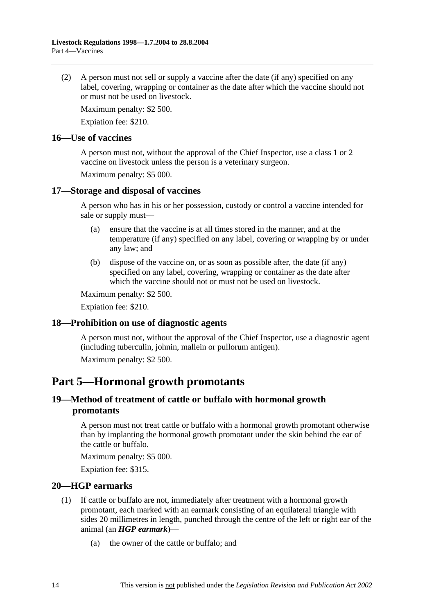(2) A person must not sell or supply a vaccine after the date (if any) specified on any label, covering, wrapping or container as the date after which the vaccine should not or must not be used on livestock.

Maximum penalty: \$2 500.

Expiation fee: \$210.

#### **16—Use of vaccines**

A person must not, without the approval of the Chief Inspector, use a class 1 or 2 vaccine on livestock unless the person is a veterinary surgeon.

Maximum penalty: \$5 000.

#### **17—Storage and disposal of vaccines**

A person who has in his or her possession, custody or control a vaccine intended for sale or supply must—

- (a) ensure that the vaccine is at all times stored in the manner, and at the temperature (if any) specified on any label, covering or wrapping by or under any law; and
- (b) dispose of the vaccine on, or as soon as possible after, the date (if any) specified on any label, covering, wrapping or container as the date after which the vaccine should not or must not be used on livestock.

Maximum penalty: \$2 500.

Expiation fee: \$210.

#### **18—Prohibition on use of diagnostic agents**

A person must not, without the approval of the Chief Inspector, use a diagnostic agent (including tuberculin, johnin, mallein or pullorum antigen).

Maximum penalty: \$2 500.

### **Part 5—Hormonal growth promotants**

#### **19—Method of treatment of cattle or buffalo with hormonal growth promotants**

A person must not treat cattle or buffalo with a hormonal growth promotant otherwise than by implanting the hormonal growth promotant under the skin behind the ear of the cattle or buffalo.

Maximum penalty: \$5 000.

Expiation fee: \$315.

#### **20—HGP earmarks**

- (1) If cattle or buffalo are not, immediately after treatment with a hormonal growth promotant, each marked with an earmark consisting of an equilateral triangle with sides 20 millimetres in length, punched through the centre of the left or right ear of the animal (an *HGP earmark*)—
	- (a) the owner of the cattle or buffalo; and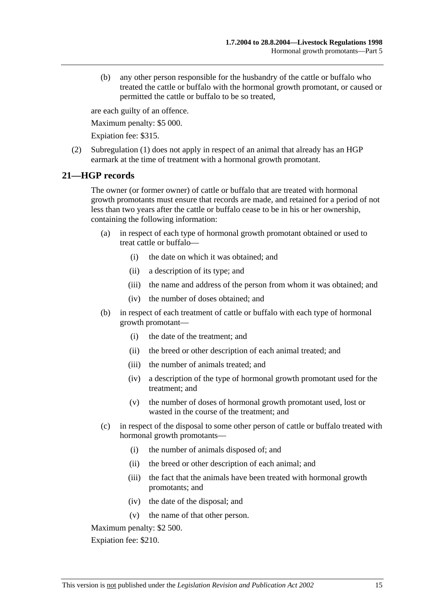(b) any other person responsible for the husbandry of the cattle or buffalo who treated the cattle or buffalo with the hormonal growth promotant, or caused or permitted the cattle or buffalo to be so treated,

are each guilty of an offence.

Maximum penalty: \$5 000.

Expiation fee: \$315.

 (2) Subregulation (1) does not apply in respect of an animal that already has an HGP earmark at the time of treatment with a hormonal growth promotant.

#### **21—HGP records**

The owner (or former owner) of cattle or buffalo that are treated with hormonal growth promotants must ensure that records are made, and retained for a period of not less than two years after the cattle or buffalo cease to be in his or her ownership, containing the following information:

- (a) in respect of each type of hormonal growth promotant obtained or used to treat cattle or buffalo—
	- (i) the date on which it was obtained; and
	- (ii) a description of its type; and
	- (iii) the name and address of the person from whom it was obtained; and
	- (iv) the number of doses obtained; and
- (b) in respect of each treatment of cattle or buffalo with each type of hormonal growth promotant—
	- (i) the date of the treatment; and
	- (ii) the breed or other description of each animal treated; and
	- (iii) the number of animals treated; and
	- (iv) a description of the type of hormonal growth promotant used for the treatment; and
	- (v) the number of doses of hormonal growth promotant used, lost or wasted in the course of the treatment; and
- (c) in respect of the disposal to some other person of cattle or buffalo treated with hormonal growth promotants—
	- (i) the number of animals disposed of; and
	- (ii) the breed or other description of each animal; and
	- (iii) the fact that the animals have been treated with hormonal growth promotants; and
	- (iv) the date of the disposal; and
	- (v) the name of that other person.

Maximum penalty: \$2 500.

Expiation fee: \$210.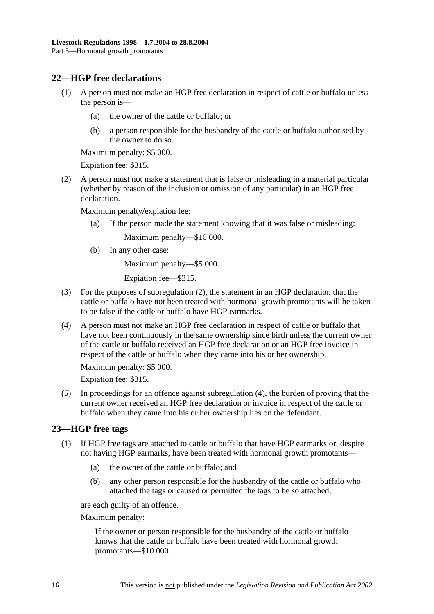#### **22—HGP free declarations**

- (1) A person must not make an HGP free declaration in respect of cattle or buffalo unless the person is—
	- (a) the owner of the cattle or buffalo; or
	- (b) a person responsible for the husbandry of the cattle or buffalo authorised by the owner to do so.

Maximum penalty: \$5 000.

Expiation fee: \$315.

 (2) A person must not make a statement that is false or misleading in a material particular (whether by reason of the inclusion or omission of any particular) in an HGP free declaration.

Maximum penalty/expiation fee:

(a) If the person made the statement knowing that it was false or misleading:

Maximum penalty—\$10 000.

(b) In any other case:

Maximum penalty—\$5 000.

Expiation fee—\$315.

- (3) For the purposes of subregulation (2), the statement in an HGP declaration that the cattle or buffalo have not been treated with hormonal growth promotants will be taken to be false if the cattle or buffalo have HGP earmarks.
- (4) A person must not make an HGP free declaration in respect of cattle or buffalo that have not been continuously in the same ownership since birth unless the current owner of the cattle or buffalo received an HGP free declaration or an HGP free invoice in respect of the cattle or buffalo when they came into his or her ownership.

Maximum penalty: \$5 000.

Expiation fee: \$315.

 (5) In proceedings for an offence against subregulation (4), the burden of proving that the current owner received an HGP free declaration or invoice in respect of the cattle or buffalo when they came into his or her ownership lies on the defendant.

#### **23—HGP free tags**

- (1) If HGP free tags are attached to cattle or buffalo that have HGP earmarks or, despite not having HGP earmarks, have been treated with hormonal growth promotants—
	- (a) the owner of the cattle or buffalo; and
	- (b) any other person responsible for the husbandry of the cattle or buffalo who attached the tags or caused or permitted the tags to be so attached,

are each guilty of an offence.

Maximum penalty:

If the owner or person responsible for the husbandry of the cattle or buffalo knows that the cattle or buffalo have been treated with hormonal growth promotants—\$10 000.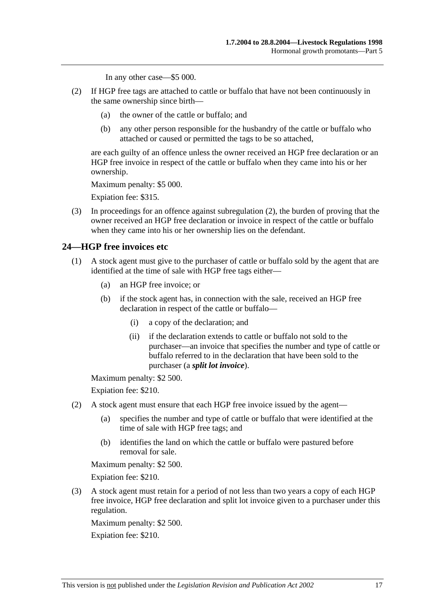In any other case—\$5 000.

- (2) If HGP free tags are attached to cattle or buffalo that have not been continuously in the same ownership since birth—
	- (a) the owner of the cattle or buffalo; and
	- (b) any other person responsible for the husbandry of the cattle or buffalo who attached or caused or permitted the tags to be so attached,

are each guilty of an offence unless the owner received an HGP free declaration or an HGP free invoice in respect of the cattle or buffalo when they came into his or her ownership.

Maximum penalty: \$5 000.

Expiation fee: \$315.

 (3) In proceedings for an offence against subregulation (2), the burden of proving that the owner received an HGP free declaration or invoice in respect of the cattle or buffalo when they came into his or her ownership lies on the defendant.

#### **24—HGP free invoices etc**

- (1) A stock agent must give to the purchaser of cattle or buffalo sold by the agent that are identified at the time of sale with HGP free tags either—
	- (a) an HGP free invoice; or
	- (b) if the stock agent has, in connection with the sale, received an HGP free declaration in respect of the cattle or buffalo—
		- (i) a copy of the declaration; and
		- (ii) if the declaration extends to cattle or buffalo not sold to the purchaser—an invoice that specifies the number and type of cattle or buffalo referred to in the declaration that have been sold to the purchaser (a *split lot invoice*).

Maximum penalty: \$2 500.

Expiation fee: \$210.

- (2) A stock agent must ensure that each HGP free invoice issued by the agent—
	- (a) specifies the number and type of cattle or buffalo that were identified at the time of sale with HGP free tags; and
	- (b) identifies the land on which the cattle or buffalo were pastured before removal for sale.

Maximum penalty: \$2 500.

Expiation fee: \$210.

 (3) A stock agent must retain for a period of not less than two years a copy of each HGP free invoice, HGP free declaration and split lot invoice given to a purchaser under this regulation.

Maximum penalty: \$2 500.

Expiation fee: \$210.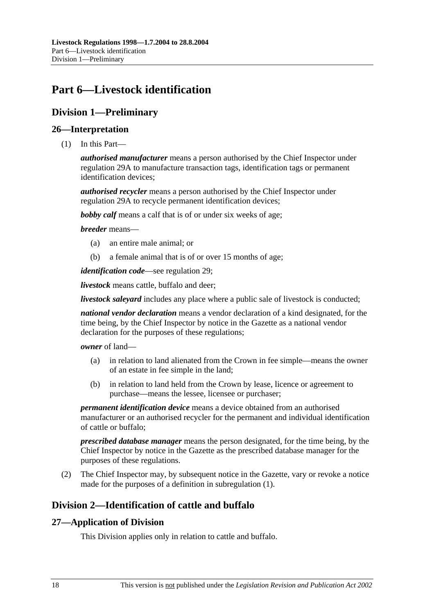## **Part 6—Livestock identification**

### **Division 1—Preliminary**

#### **26—Interpretation**

(1) In this Part—

*authorised manufacturer* means a person authorised by the Chief Inspector under regulation 29A to manufacture transaction tags, identification tags or permanent identification devices;

*authorised recycler* means a person authorised by the Chief Inspector under regulation 29A to recycle permanent identification devices;

*bobby calf* means a calf that is of or under six weeks of age;

#### *breeder* means—

- (a) an entire male animal; or
- (b) a female animal that is of or over 15 months of age;

*identification code*—see regulation 29;

*livestock* means cattle, buffalo and deer;

*livestock saleyard* includes any place where a public sale of livestock is conducted;

*national vendor declaration* means a vendor declaration of a kind designated, for the time being, by the Chief Inspector by notice in the Gazette as a national vendor declaration for the purposes of these regulations;

#### *owner* of land—

- (a) in relation to land alienated from the Crown in fee simple—means the owner of an estate in fee simple in the land;
- (b) in relation to land held from the Crown by lease, licence or agreement to purchase—means the lessee, licensee or purchaser;

*permanent identification device* means a device obtained from an authorised manufacturer or an authorised recycler for the permanent and individual identification of cattle or buffalo;

*prescribed database manager* means the person designated, for the time being, by the Chief Inspector by notice in the Gazette as the prescribed database manager for the purposes of these regulations.

 (2) The Chief Inspector may, by subsequent notice in the Gazette, vary or revoke a notice made for the purposes of a definition in subregulation (1).

### **Division 2—Identification of cattle and buffalo**

#### **27—Application of Division**

This Division applies only in relation to cattle and buffalo.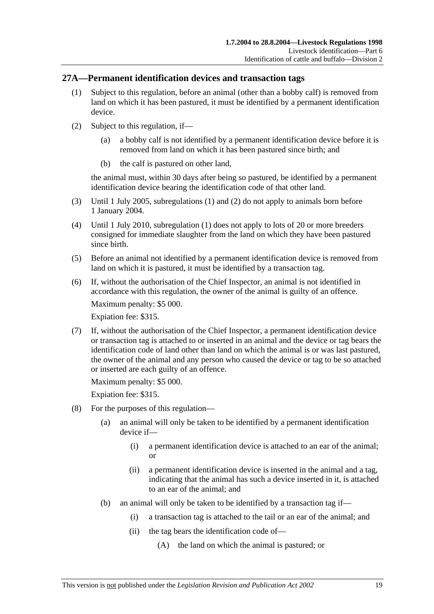#### **27A—Permanent identification devices and transaction tags**

- (1) Subject to this regulation, before an animal (other than a bobby calf) is removed from land on which it has been pastured, it must be identified by a permanent identification device.
- (2) Subject to this regulation, if—
	- (a) a bobby calf is not identified by a permanent identification device before it is removed from land on which it has been pastured since birth; and
	- (b) the calf is pastured on other land,

the animal must, within 30 days after being so pastured, be identified by a permanent identification device bearing the identification code of that other land.

- (3) Until 1 July 2005, subregulations (1) and (2) do not apply to animals born before 1 January 2004.
- (4) Until 1 July 2010, subregulation (1) does not apply to lots of 20 or more breeders consigned for immediate slaughter from the land on which they have been pastured since birth.
- (5) Before an animal not identified by a permanent identification device is removed from land on which it is pastured, it must be identified by a transaction tag.
- (6) If, without the authorisation of the Chief Inspector, an animal is not identified in accordance with this regulation, the owner of the animal is guilty of an offence.

Maximum penalty: \$5 000.

Expiation fee: \$315.

 (7) If, without the authorisation of the Chief Inspector, a permanent identification device or transaction tag is attached to or inserted in an animal and the device or tag bears the identification code of land other than land on which the animal is or was last pastured, the owner of the animal and any person who caused the device or tag to be so attached or inserted are each guilty of an offence.

Maximum penalty: \$5 000.

- (8) For the purposes of this regulation—
	- (a) an animal will only be taken to be identified by a permanent identification device if—
		- (i) a permanent identification device is attached to an ear of the animal; or
		- (ii) a permanent identification device is inserted in the animal and a tag, indicating that the animal has such a device inserted in it, is attached to an ear of the animal; and
	- (b) an animal will only be taken to be identified by a transaction tag if—
		- (i) a transaction tag is attached to the tail or an ear of the animal; and
		- (ii) the tag bears the identification code of—
			- (A) the land on which the animal is pastured; or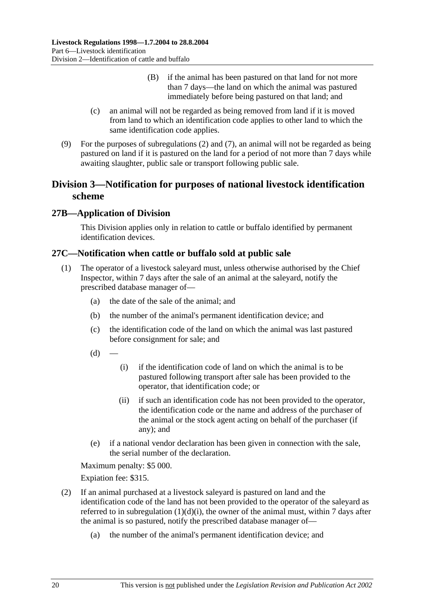- (B) if the animal has been pastured on that land for not more than 7 days—the land on which the animal was pastured immediately before being pastured on that land; and
- (c) an animal will not be regarded as being removed from land if it is moved from land to which an identification code applies to other land to which the same identification code applies.
- (9) For the purposes of subregulations (2) and (7), an animal will not be regarded as being pastured on land if it is pastured on the land for a period of not more than 7 days while awaiting slaughter, public sale or transport following public sale.

### **Division 3—Notification for purposes of national livestock identification scheme**

### **27B—Application of Division**

This Division applies only in relation to cattle or buffalo identified by permanent identification devices.

#### **27C—Notification when cattle or buffalo sold at public sale**

- (1) The operator of a livestock saleyard must, unless otherwise authorised by the Chief Inspector, within 7 days after the sale of an animal at the saleyard, notify the prescribed database manager of—
	- (a) the date of the sale of the animal; and
	- (b) the number of the animal's permanent identification device; and
	- (c) the identification code of the land on which the animal was last pastured before consignment for sale; and
	- $(d)$
- (i) if the identification code of land on which the animal is to be pastured following transport after sale has been provided to the operator, that identification code; or
- (ii) if such an identification code has not been provided to the operator, the identification code or the name and address of the purchaser of the animal or the stock agent acting on behalf of the purchaser (if any); and
- (e) if a national vendor declaration has been given in connection with the sale, the serial number of the declaration.

Maximum penalty: \$5 000.

- (2) If an animal purchased at a livestock saleyard is pastured on land and the identification code of the land has not been provided to the operator of the saleyard as referred to in subregulation  $(1)(d)(i)$ , the owner of the animal must, within 7 days after the animal is so pastured, notify the prescribed database manager of—
	- (a) the number of the animal's permanent identification device; and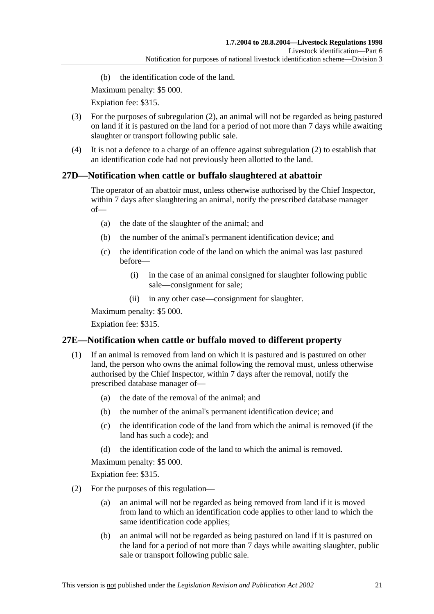(b) the identification code of the land.

Maximum penalty: \$5 000.

Expiation fee: \$315.

- (3) For the purposes of subregulation (2), an animal will not be regarded as being pastured on land if it is pastured on the land for a period of not more than 7 days while awaiting slaughter or transport following public sale.
- (4) It is not a defence to a charge of an offence against subregulation (2) to establish that an identification code had not previously been allotted to the land.

### **27D—Notification when cattle or buffalo slaughtered at abattoir**

The operator of an abattoir must, unless otherwise authorised by the Chief Inspector, within 7 days after slaughtering an animal, notify the prescribed database manager of—

- (a) the date of the slaughter of the animal; and
- (b) the number of the animal's permanent identification device; and
- (c) the identification code of the land on which the animal was last pastured before—
	- (i) in the case of an animal consigned for slaughter following public sale—consignment for sale;
	- (ii) in any other case—consignment for slaughter.

Maximum penalty: \$5 000.

Expiation fee: \$315.

### **27E—Notification when cattle or buffalo moved to different property**

- (1) If an animal is removed from land on which it is pastured and is pastured on other land, the person who owns the animal following the removal must, unless otherwise authorised by the Chief Inspector, within 7 days after the removal, notify the prescribed database manager of—
	- (a) the date of the removal of the animal; and
	- (b) the number of the animal's permanent identification device; and
	- (c) the identification code of the land from which the animal is removed (if the land has such a code); and
	- (d) the identification code of the land to which the animal is removed.

Maximum penalty: \$5 000.

- (2) For the purposes of this regulation—
	- (a) an animal will not be regarded as being removed from land if it is moved from land to which an identification code applies to other land to which the same identification code applies;
	- (b) an animal will not be regarded as being pastured on land if it is pastured on the land for a period of not more than 7 days while awaiting slaughter, public sale or transport following public sale.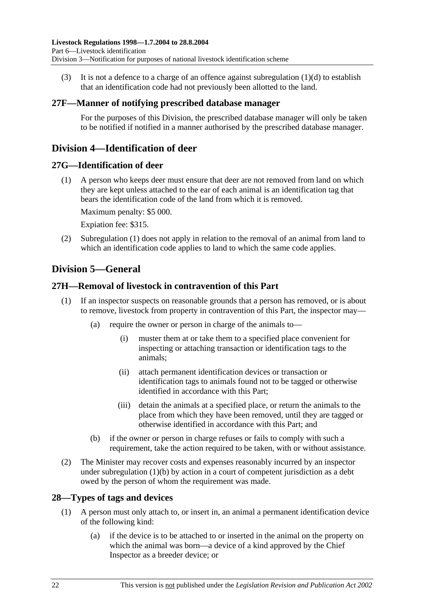(3) It is not a defence to a charge of an offence against subregulation  $(1)(d)$  to establish that an identification code had not previously been allotted to the land.

#### **27F—Manner of notifying prescribed database manager**

For the purposes of this Division, the prescribed database manager will only be taken to be notified if notified in a manner authorised by the prescribed database manager.

### **Division 4—Identification of deer**

#### **27G—Identification of deer**

 (1) A person who keeps deer must ensure that deer are not removed from land on which they are kept unless attached to the ear of each animal is an identification tag that bears the identification code of the land from which it is removed.

Maximum penalty: \$5 000.

Expiation fee: \$315.

 (2) Subregulation (1) does not apply in relation to the removal of an animal from land to which an identification code applies to land to which the same code applies.

### **Division 5—General**

#### **27H—Removal of livestock in contravention of this Part**

- (1) If an inspector suspects on reasonable grounds that a person has removed, or is about to remove, livestock from property in contravention of this Part, the inspector may—
	- (a) require the owner or person in charge of the animals to—
		- (i) muster them at or take them to a specified place convenient for inspecting or attaching transaction or identification tags to the animals;
		- (ii) attach permanent identification devices or transaction or identification tags to animals found not to be tagged or otherwise identified in accordance with this Part;
		- (iii) detain the animals at a specified place, or return the animals to the place from which they have been removed, until they are tagged or otherwise identified in accordance with this Part; and
	- (b) if the owner or person in charge refuses or fails to comply with such a requirement, take the action required to be taken, with or without assistance.
- (2) The Minister may recover costs and expenses reasonably incurred by an inspector under subregulation (1)(b) by action in a court of competent jurisdiction as a debt owed by the person of whom the requirement was made.

#### **28—Types of tags and devices**

- (1) A person must only attach to, or insert in, an animal a permanent identification device of the following kind:
	- (a) if the device is to be attached to or inserted in the animal on the property on which the animal was born—a device of a kind approved by the Chief Inspector as a breeder device; or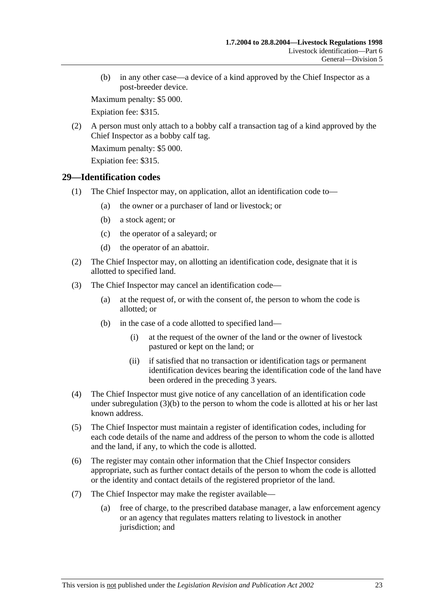(b) in any other case—a device of a kind approved by the Chief Inspector as a post-breeder device.

Maximum penalty: \$5 000.

Expiation fee: \$315.

 (2) A person must only attach to a bobby calf a transaction tag of a kind approved by the Chief Inspector as a bobby calf tag.

Maximum penalty: \$5 000.

Expiation fee: \$315.

#### **29—Identification codes**

- (1) The Chief Inspector may, on application, allot an identification code to—
	- (a) the owner or a purchaser of land or livestock; or
	- (b) a stock agent; or
	- (c) the operator of a saleyard; or
	- (d) the operator of an abattoir.
- (2) The Chief Inspector may, on allotting an identification code, designate that it is allotted to specified land.
- (3) The Chief Inspector may cancel an identification code—
	- (a) at the request of, or with the consent of, the person to whom the code is allotted; or
	- (b) in the case of a code allotted to specified land—
		- (i) at the request of the owner of the land or the owner of livestock pastured or kept on the land; or
		- (ii) if satisfied that no transaction or identification tags or permanent identification devices bearing the identification code of the land have been ordered in the preceding 3 years.
- (4) The Chief Inspector must give notice of any cancellation of an identification code under subregulation (3)(b) to the person to whom the code is allotted at his or her last known address.
- (5) The Chief Inspector must maintain a register of identification codes, including for each code details of the name and address of the person to whom the code is allotted and the land, if any, to which the code is allotted.
- (6) The register may contain other information that the Chief Inspector considers appropriate, such as further contact details of the person to whom the code is allotted or the identity and contact details of the registered proprietor of the land.
- (7) The Chief Inspector may make the register available—
	- (a) free of charge, to the prescribed database manager, a law enforcement agency or an agency that regulates matters relating to livestock in another jurisdiction; and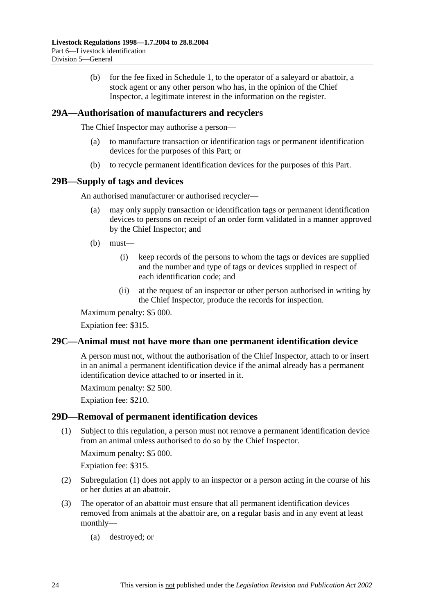(b) for the fee fixed in Schedule 1, to the operator of a saleyard or abattoir, a stock agent or any other person who has, in the opinion of the Chief Inspector, a legitimate interest in the information on the register.

#### **29A—Authorisation of manufacturers and recyclers**

The Chief Inspector may authorise a person—

- (a) to manufacture transaction or identification tags or permanent identification devices for the purposes of this Part; or
- (b) to recycle permanent identification devices for the purposes of this Part.

#### **29B—Supply of tags and devices**

An authorised manufacturer or authorised recycler—

- (a) may only supply transaction or identification tags or permanent identification devices to persons on receipt of an order form validated in a manner approved by the Chief Inspector; and
- (b) must—
	- (i) keep records of the persons to whom the tags or devices are supplied and the number and type of tags or devices supplied in respect of each identification code; and
	- (ii) at the request of an inspector or other person authorised in writing by the Chief Inspector, produce the records for inspection.

Maximum penalty: \$5 000.

Expiation fee: \$315.

#### **29C—Animal must not have more than one permanent identification device**

A person must not, without the authorisation of the Chief Inspector, attach to or insert in an animal a permanent identification device if the animal already has a permanent identification device attached to or inserted in it.

Maximum penalty: \$2 500.

Expiation fee: \$210.

#### **29D—Removal of permanent identification devices**

 (1) Subject to this regulation, a person must not remove a permanent identification device from an animal unless authorised to do so by the Chief Inspector.

Maximum penalty: \$5 000.

- (2) Subregulation (1) does not apply to an inspector or a person acting in the course of his or her duties at an abattoir.
- (3) The operator of an abattoir must ensure that all permanent identification devices removed from animals at the abattoir are, on a regular basis and in any event at least monthly—
	- (a) destroyed; or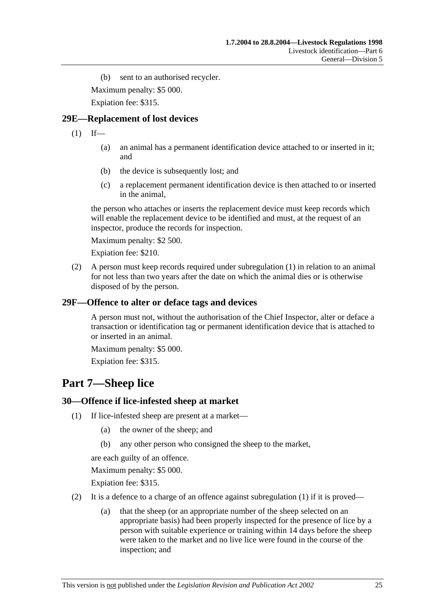(b) sent to an authorised recycler.

Maximum penalty: \$5 000.

Expiation fee: \$315.

#### **29E—Replacement of lost devices**

 $(1)$  If—

- (a) an animal has a permanent identification device attached to or inserted in it; and
- (b) the device is subsequently lost; and
- (c) a replacement permanent identification device is then attached to or inserted in the animal,

the person who attaches or inserts the replacement device must keep records which will enable the replacement device to be identified and must, at the request of an inspector, produce the records for inspection.

Maximum penalty: \$2 500.

Expiation fee: \$210.

 (2) A person must keep records required under subregulation (1) in relation to an animal for not less than two years after the date on which the animal dies or is otherwise disposed of by the person.

#### **29F—Offence to alter or deface tags and devices**

A person must not, without the authorisation of the Chief Inspector, alter or deface a transaction or identification tag or permanent identification device that is attached to or inserted in an animal.

Maximum penalty: \$5 000.

Expiation fee: \$315.

## **Part 7—Sheep lice**

#### **30—Offence if lice-infested sheep at market**

- (1) If lice-infested sheep are present at a market—
	- (a) the owner of the sheep; and
	- (b) any other person who consigned the sheep to the market,

are each guilty of an offence.

Maximum penalty: \$5 000.

- (2) It is a defence to a charge of an offence against subregulation  $(1)$  if it is proved—
	- (a) that the sheep (or an appropriate number of the sheep selected on an appropriate basis) had been properly inspected for the presence of lice by a person with suitable experience or training within 14 days before the sheep were taken to the market and no live lice were found in the course of the inspection; and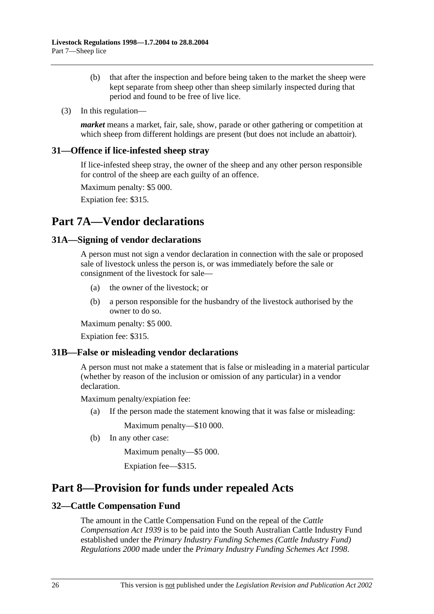- (b) that after the inspection and before being taken to the market the sheep were kept separate from sheep other than sheep similarly inspected during that period and found to be free of live lice.
- (3) In this regulation—

*market* means a market, fair, sale, show, parade or other gathering or competition at which sheep from different holdings are present (but does not include an abattoir).

#### **31—Offence if lice-infested sheep stray**

If lice-infested sheep stray, the owner of the sheep and any other person responsible for control of the sheep are each guilty of an offence.

Maximum penalty: \$5 000.

Expiation fee: \$315.

## **Part 7A—Vendor declarations**

#### **31A—Signing of vendor declarations**

A person must not sign a vendor declaration in connection with the sale or proposed sale of livestock unless the person is, or was immediately before the sale or consignment of the livestock for sale—

- (a) the owner of the livestock; or
- (b) a person responsible for the husbandry of the livestock authorised by the owner to do so.

Maximum penalty: \$5 000.

Expiation fee: \$315.

#### **31B—False or misleading vendor declarations**

A person must not make a statement that is false or misleading in a material particular (whether by reason of the inclusion or omission of any particular) in a vendor declaration.

Maximum penalty/expiation fee:

(a) If the person made the statement knowing that it was false or misleading:

Maximum penalty—\$10 000.

(b) In any other case:

Maximum penalty—\$5 000.

Expiation fee—\$315.

## **Part 8—Provision for funds under repealed Acts**

#### **32—Cattle Compensation Fund**

The amount in the Cattle Compensation Fund on the repeal of the *Cattle Compensation Act 1939* is to be paid into the South Australian Cattle Industry Fund established under the *Primary Industry Funding Schemes (Cattle Industry Fund) Regulations 2000* made under the *Primary Industry Funding Schemes Act 1998*.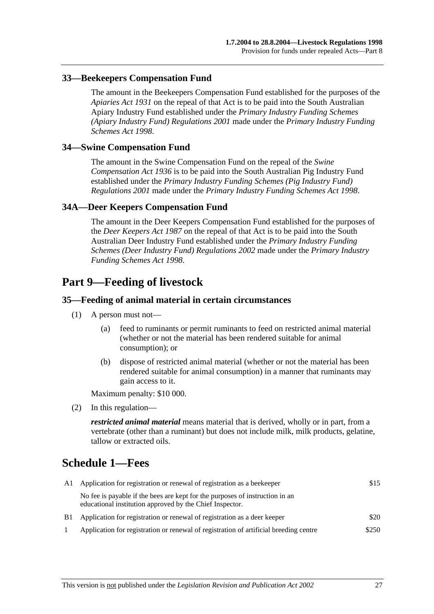#### **33—Beekeepers Compensation Fund**

The amount in the Beekeepers Compensation Fund established for the purposes of the *Apiaries Act 1931* on the repeal of that Act is to be paid into the South Australian Apiary Industry Fund established under the *Primary Industry Funding Schemes (Apiary Industry Fund) Regulations 2001* made under the *Primary Industry Funding Schemes Act 1998*.

#### **34—Swine Compensation Fund**

The amount in the Swine Compensation Fund on the repeal of the *Swine Compensation Act 1936* is to be paid into the South Australian Pig Industry Fund established under the *Primary Industry Funding Schemes (Pig Industry Fund) Regulations 2001* made under the *Primary Industry Funding Schemes Act 1998*.

#### **34A—Deer Keepers Compensation Fund**

The amount in the Deer Keepers Compensation Fund established for the purposes of the *Deer Keepers Act 1987* on the repeal of that Act is to be paid into the South Australian Deer Industry Fund established under the *Primary Industry Funding Schemes (Deer Industry Fund) Regulations 2002* made under the *Primary Industry Funding Schemes Act 1998*.

### **Part 9—Feeding of livestock**

#### **35—Feeding of animal material in certain circumstances**

- (1) A person must not—
	- (a) feed to ruminants or permit ruminants to feed on restricted animal material (whether or not the material has been rendered suitable for animal consumption); or
	- (b) dispose of restricted animal material (whether or not the material has been rendered suitable for animal consumption) in a manner that ruminants may gain access to it.

Maximum penalty: \$10 000.

(2) In this regulation—

*restricted animal material* means material that is derived, wholly or in part, from a vertebrate (other than a ruminant) but does not include milk, milk products, gelatine, tallow or extracted oils.

## **Schedule 1—Fees**

| A1 Application for registration or renewal of registration as a beekeeper                                                                |       |
|------------------------------------------------------------------------------------------------------------------------------------------|-------|
| No fee is payable if the bees are kept for the purposes of instruction in an<br>educational institution approved by the Chief Inspector. |       |
| B1 Application for registration or renewal of registration as a deer keeper                                                              | \$20  |
| Application for registration or renewal of registration of artificial breeding centre                                                    | \$250 |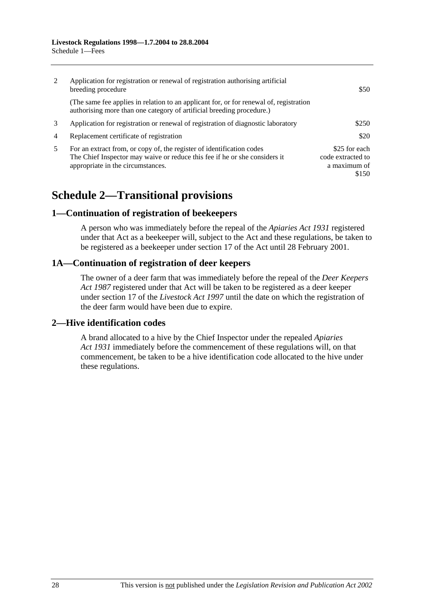| 2              | Application for registration or renewal of registration authorising artificial<br>breeding procedure                                                                                     | \$50                                                        |
|----------------|------------------------------------------------------------------------------------------------------------------------------------------------------------------------------------------|-------------------------------------------------------------|
|                | (The same fee applies in relation to an applicant for, or for renewal of, registration<br>authorising more than one category of artificial breeding procedure.)                          |                                                             |
| 3              | Application for registration or renewal of registration of diagnostic laboratory                                                                                                         | \$250                                                       |
| $\overline{4}$ | Replacement certificate of registration                                                                                                                                                  | \$20                                                        |
| 5              | For an extract from, or copy of, the register of identification codes<br>The Chief Inspector may waive or reduce this fee if he or she considers it<br>appropriate in the circumstances. | \$25 for each<br>code extracted to<br>a maximum of<br>\$150 |

# **Schedule 2—Transitional provisions**

#### **1—Continuation of registration of beekeepers**

A person who was immediately before the repeal of the *Apiaries Act 1931* registered under that Act as a beekeeper will, subject to the Act and these regulations, be taken to be registered as a beekeeper under section 17 of the Act until 28 February 2001.

#### **1A—Continuation of registration of deer keepers**

The owner of a deer farm that was immediately before the repeal of the *Deer Keepers Act 1987* registered under that Act will be taken to be registered as a deer keeper under section 17 of the *Livestock Act 1997* until the date on which the registration of the deer farm would have been due to expire.

### **2—Hive identification codes**

A brand allocated to a hive by the Chief Inspector under the repealed *Apiaries Act 1931* immediately before the commencement of these regulations will, on that commencement, be taken to be a hive identification code allocated to the hive under these regulations.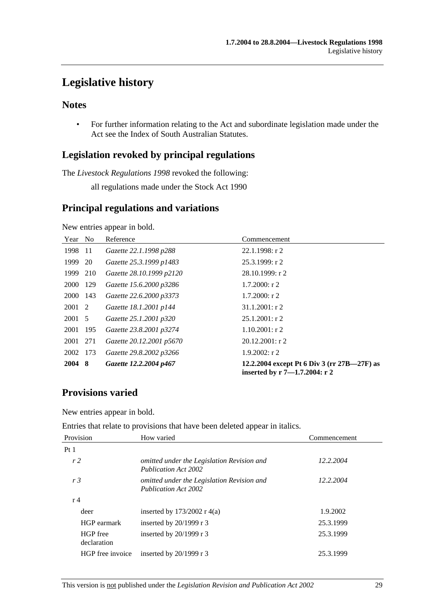## **Legislative history**

### **Notes**

 • For further information relating to the Act and subordinate legislation made under the Act see the Index of South Australian Statutes.

### **Legislation revoked by principal regulations**

The *Livestock Regulations 1998* revoked the following:

all regulations made under the Stock Act 1990

### **Principal regulations and variations**

New entries appear in bold.

| Year        | N <sub>o</sub> | Reference                | Commencement                                                                 |
|-------------|----------------|--------------------------|------------------------------------------------------------------------------|
| 1998        | -11            | Gazette 22.1.1998 p288   | 22.1.1998: r 2                                                               |
| 1999        | 20             | Gazette 25.3.1999 p1483  | $25.3.1999:$ r 2                                                             |
| 1999        | 210            | Gazette 28.10.1999 p2120 | 28.10.1999: r2                                                               |
| <b>2000</b> | -129           | Gazette 15.6.2000 p3286  | $1.7.2000:$ r 2                                                              |
| 2000        | 143            | Gazette 22.6.2000 p3373  | $1.7.2000$ : r 2                                                             |
| 2001 2      |                | Gazette 18.1.2001 p144   | $31.1.2001$ : r 2                                                            |
| 2001 5      |                | Gazette 25.1.2001 p320   | $25.1.2001$ : r 2                                                            |
| 2001        | 195            | Gazette 23.8.2001 p3274  | $1.10.2001$ : r 2                                                            |
| 2001        | 271            | Gazette 20.12.2001 p5670 | $20.12.2001:$ r 2                                                            |
| 2002        | - 173          | Gazette 29.8.2002 p3266  | $1.9.2002$ : r 2                                                             |
| 2004 8      |                | Gazette 12.2.2004 p467   | 12.2.2004 except Pt 6 Div 3 (rr 27B—27F) as<br>inserted by r 7–1.7.2004: r 2 |

### **Provisions varied**

New entries appear in bold.

Entries that relate to provisions that have been deleted appear in italics.

| Provision               | How varied                                                                | Commencement |
|-------------------------|---------------------------------------------------------------------------|--------------|
| Pt1                     |                                                                           |              |
| r2                      | omitted under the Legislation Revision and<br><b>Publication Act 2002</b> | 12.2.2004    |
| r <sub>3</sub>          | omitted under the Legislation Revision and<br>Publication Act 2002        | 12.2.2004    |
| r <sub>4</sub>          |                                                                           |              |
| deer                    | inserted by $173/2002$ r 4(a)                                             | 1.9.2002     |
| HGP earmark             | inserted by $20/1999$ r 3                                                 | 25.3.1999    |
| HGP free<br>declaration | inserted by $20/1999$ r 3                                                 | 25.3.1999    |
| HGP free invoice        | inserted by $20/1999$ r 3                                                 | 25.3.1999    |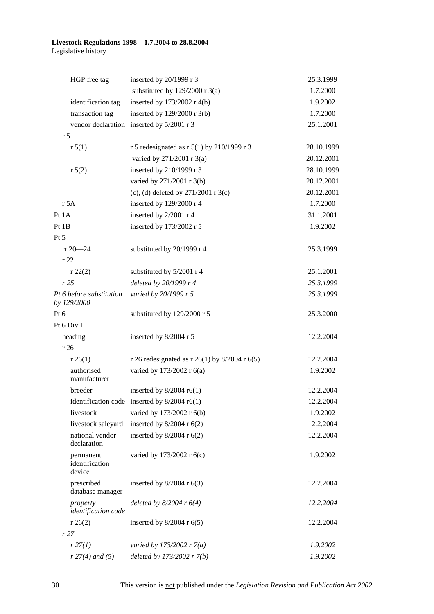#### **Livestock Regulations 1998—1.7.2004 to 28.8.2004**  Legislative history

| HGP free tag                            | inserted by 20/1999 r 3                        | 25.3.1999  |
|-----------------------------------------|------------------------------------------------|------------|
|                                         | substituted by $129/2000$ r 3(a)               | 1.7.2000   |
| identification tag                      | inserted by $173/2002$ r 4(b)                  | 1.9.2002   |
| transaction tag                         | inserted by $129/2000$ r 3(b)                  | 1.7.2000   |
|                                         | vendor declaration inserted by 5/2001 r 3      | 25.1.2001  |
| r <sub>5</sub>                          |                                                |            |
| r 5(1)                                  | r 5 redesignated as r 5(1) by 210/1999 r 3     | 28.10.1999 |
|                                         | varied by 271/2001 r 3(a)                      | 20.12.2001 |
| r 5(2)                                  | inserted by 210/1999 r 3                       | 28.10.1999 |
|                                         | varied by 271/2001 r 3(b)                      | 20.12.2001 |
|                                         | (c), (d) deleted by $271/2001$ r 3(c)          | 20.12.2001 |
| r 5A                                    | inserted by 129/2000 r 4                       | 1.7.2000   |
| Pt 1A                                   | inserted by 2/2001 r 4                         | 31.1.2001  |
| Pt 1B                                   | inserted by 173/2002 r 5                       | 1.9.2002   |
| $Pt\,5$                                 |                                                |            |
| $rr 20 - 24$                            | substituted by 20/1999 r 4                     | 25.3.1999  |
| r 22                                    |                                                |            |
| r 22(2)                                 | substituted by 5/2001 r 4                      | 25.1.2001  |
| r25                                     | deleted by 20/1999 r 4                         | 25.3.1999  |
| Pt 6 before substitution<br>by 129/2000 | varied by 20/1999 r 5                          | 25.3.1999  |
| Pt $6$                                  | substituted by 129/2000 r 5                    | 25.3.2000  |
| Pt 6 Div 1                              |                                                |            |
| heading                                 | inserted by 8/2004 r 5                         | 12.2.2004  |
| r 26                                    |                                                |            |
| r 26(1)                                 | r 26 redesignated as r 26(1) by 8/2004 r 6(5)  | 12.2.2004  |
| authorised<br>manufacturer              | varied by 173/2002 r 6(a)                      | 1.9.2002   |
| breeder                                 | inserted by $8/2004$ r6(1)                     | 12.2.2004  |
|                                         | identification code inserted by $8/2004$ r6(1) | 12.2.2004  |
| livestock                               | varied by 173/2002 r 6(b)                      | 1.9.2002   |
| livestock saleyard                      | inserted by $8/2004$ r $6(2)$                  | 12.2.2004  |
| national vendor<br>declaration          | inserted by $8/2004$ r $6(2)$                  | 12.2.2004  |
| permanent<br>identification<br>device   | varied by 173/2002 r 6(c)                      | 1.9.2002   |
| prescribed<br>database manager          | inserted by $8/2004$ r $6(3)$                  | 12.2.2004  |
| property<br>identification code         | deleted by $8/2004$ r $6(4)$                   | 12.2.2004  |
| r 26(2)                                 | inserted by $8/2004$ r $6(5)$                  | 12.2.2004  |
| r27                                     |                                                |            |
| r 27(1)                                 | varied by 173/2002 r $7(a)$                    | 1.9.2002   |
| $r 27(4)$ and (5)                       | deleted by 173/2002 r 7(b)                     | 1.9.2002   |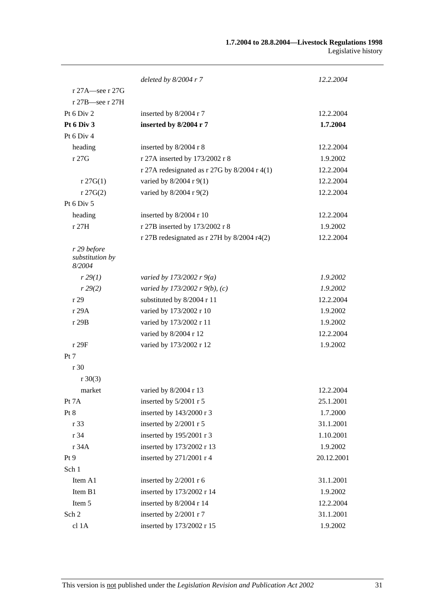|                                          | deleted by $8/2004$ r 7                        | 12.2.2004  |
|------------------------------------------|------------------------------------------------|------------|
| r 27A—see r 27G                          |                                                |            |
| $r 27B$ -see r 27H                       |                                                |            |
| Pt $6$ Div $2$                           | inserted by 8/2004 r 7                         | 12.2.2004  |
| Pt 6 Div 3                               | inserted by 8/2004 r 7                         | 1.7.2004   |
| Pt 6 Div 4                               |                                                |            |
| heading                                  | inserted by 8/2004 r 8                         | 12.2.2004  |
| r27G                                     | r 27A inserted by 173/2002 r 8                 | 1.9.2002   |
|                                          | r 27A redesignated as r 27G by $8/2004$ r 4(1) | 12.2.2004  |
| $r \, 27G(1)$                            | varied by 8/2004 r 9(1)                        | 12.2.2004  |
| $r \, 27G(2)$                            | varied by 8/2004 r 9(2)                        | 12.2.2004  |
| Pt 6 Div 5                               |                                                |            |
| heading                                  | inserted by 8/2004 r 10                        | 12.2.2004  |
| r 27H                                    | r 27B inserted by 173/2002 r 8                 | 1.9.2002   |
|                                          | r 27B redesignated as r 27H by 8/2004 r4(2)    | 12.2.2004  |
| r 29 before<br>substitution by<br>8/2004 |                                                |            |
| r 29(1)                                  | varied by 173/2002 r $9(a)$                    | 1.9.2002   |
| r 29(2)                                  | varied by 173/2002 r 9(b), (c)                 | 1.9.2002   |
| r29                                      | substituted by 8/2004 r 11                     | 12.2.2004  |
| r 29A                                    | varied by 173/2002 r 10                        | 1.9.2002   |
| r 29B                                    | varied by 173/2002 r 11                        | 1.9.2002   |
|                                          | varied by 8/2004 r 12                          | 12.2.2004  |
| r 29F                                    | varied by 173/2002 r 12                        | 1.9.2002   |
| Pt 7                                     |                                                |            |
| r 30                                     |                                                |            |
| $r \ 30(3)$                              |                                                |            |
| market                                   | varied by 8/2004 r 13                          | 12.2.2004  |
| Pt 7A                                    | inserted by 5/2001 r 5                         | 25.1.2001  |
| Pt 8                                     | inserted by 143/2000 r 3                       | 1.7.2000   |
| r 33                                     | inserted by 2/2001 r 5                         | 31.1.2001  |
| r 34                                     | inserted by 195/2001 r 3                       | 1.10.2001  |
| r 34A                                    | inserted by 173/2002 r 13                      | 1.9.2002   |
| Pt 9                                     | inserted by 271/2001 r 4                       | 20.12.2001 |
| Sch 1                                    |                                                |            |
| Item A1                                  | inserted by 2/2001 r 6                         | 31.1.2001  |
| Item B1                                  | inserted by 173/2002 r 14                      | 1.9.2002   |
| Item 5                                   | inserted by 8/2004 r 14                        | 12.2.2004  |
| Sch 2                                    | inserted by 2/2001 r 7                         | 31.1.2001  |
| cl 1A                                    | inserted by 173/2002 r 15                      | 1.9.2002   |